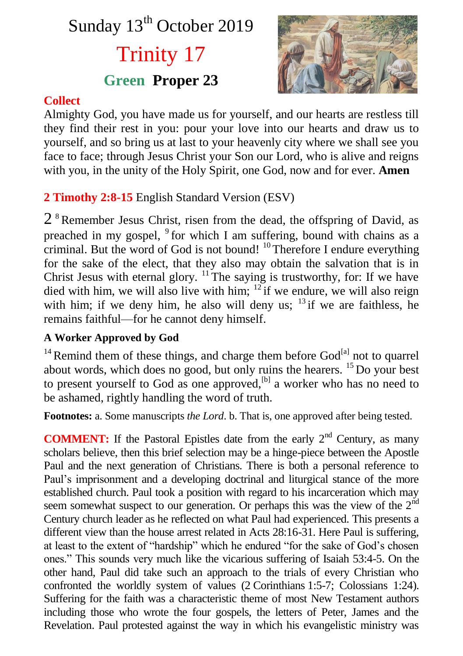# Sunday 13<sup>th</sup> October 2019 Trinity 17 **Green Proper 23**



### **Collect**

Almighty God, you have made us for yourself, and our hearts are restless till they find their rest in you: pour your love into our hearts and draw us to yourself, and so bring us at last to your heavenly city where we shall see you face to face; through Jesus Christ your Son our Lord, who is alive and reigns with you, in the unity of the Holy Spirit, one God, now and for ever. **Amen**

## **2 Timothy 2:8-15** English Standard Version (ESV)

 $2<sup>8</sup>$  Remember Jesus Christ, risen from the dead, the offspring of David, as preached in my gospel, <sup>9</sup> for which I am suffering, bound with chains as a criminal. But the word of God is not bound!  $10$  Therefore I endure everything for the sake of the elect, that they also may obtain the salvation that is in Christ Jesus with eternal glory.  $\frac{11}{1}$ The saying is trustworthy, for: If we have died with him, we will also live with him;  $12 \text{ if we endure, we will also reign}$ with him; if we deny him, he also will deny us;  $13$  if we are faithless, he remains faithful—for he cannot deny himself.

#### **A Worker Approved by God**

<sup>14</sup> Remind them of these things, and charge them before  $God^{[a]}$  not to quarrel about words, which does no good, but only ruins the hearers. <sup>15</sup> Do your best to present yourself to God as one approved,  $[<sup>b</sup>]$  a worker who has no need to be ashamed, rightly handling the word of truth.

**Footnotes:** a. Some manuscripts *the Lord*. b. That is, one approved after being tested.

**COMMENT:** If the Pastoral Epistles date from the early  $2<sup>nd</sup>$  Century, as many scholars believe, then this brief selection may be a hinge-piece between the Apostle Paul and the next generation of Christians. There is both a personal reference to Paul's imprisonment and a developing doctrinal and liturgical stance of the more established church. Paul took a position with regard to his incarceration which may seem somewhat suspect to our generation. Or perhaps this was the view of the  $2<sup>nd</sup>$ Century church leader as he reflected on what Paul had experienced. This presents a different view than the house arrest related in Acts 28:16-31. Here Paul is suffering, at least to the extent of "hardship" which he endured "for the sake of God's chosen ones." This sounds very much like the vicarious suffering of Isaiah 53:4-5. On the other hand, Paul did take such an approach to the trials of every Christian who confronted the worldly system of values (2 Corinthians 1:5-7; Colossians 1:24). Suffering for the faith was a characteristic theme of most New Testament authors including those who wrote the four gospels, the letters of Peter, James and the Revelation. Paul protested against the way in which his evangelistic ministry was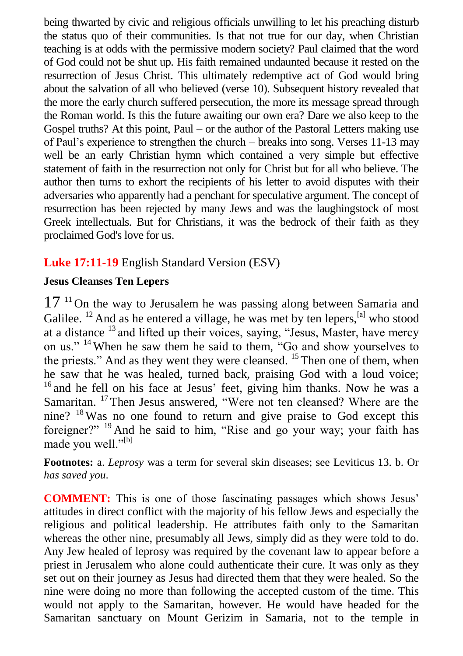being thwarted by civic and religious officials unwilling to let his preaching disturb the status quo of their communities. Is that not true for our day, when Christian teaching is at odds with the permissive modern society? Paul claimed that the word of God could not be shut up. His faith remained undaunted because it rested on the resurrection of Jesus Christ. This ultimately redemptive act of God would bring about the salvation of all who believed (verse 10). Subsequent history revealed that the more the early church suffered persecution, the more its message spread through the Roman world. Is this the future awaiting our own era? Dare we also keep to the Gospel truths? At this point, Paul – or the author of the Pastoral Letters making use of Paul's experience to strengthen the church – breaks into song. Verses 11-13 may well be an early Christian hymn which contained a very simple but effective statement of faith in the resurrection not only for Christ but for all who believe. The author then turns to exhort the recipients of his letter to avoid disputes with their adversaries who apparently had a penchant for speculative argument. The concept of resurrection has been rejected by many Jews and was the laughingstock of most Greek intellectuals. But for Christians, it was the bedrock of their faith as they proclaimed God's love for us.

#### **Luke 17:11-19** English Standard Version (ESV)

#### **Jesus Cleanses Ten Lepers**

 $17<sup>11</sup>$  On the way to Jerusalem he was passing along between Samaria and Galilee.  $12$  And as he entered a village, he was met by ten lepers,  $^{[a]}$  who stood at a distance  $13$  and lifted up their voices, saying, "Jesus, Master, have mercy on us." <sup>14</sup> When he saw them he said to them, "Go and show yourselves to the priests." And as they went they were cleansed.  $15$  Then one of them, when he saw that he was healed, turned back, praising God with a loud voice; <sup>16</sup> and he fell on his face at Jesus' feet, giving him thanks. Now he was a Samaritan. <sup>17</sup>Then Jesus answered, "Were not ten cleansed? Where are the nine? <sup>18</sup>Was no one found to return and give praise to God except this foreigner?" <sup>19</sup> And he said to him, "Rise and go your way; your faith has made you well."<sup>[b]</sup>

**Footnotes:** a. *Leprosy* was a term for several skin diseases; see Leviticus 13. b. Or *has saved you*.

**COMMENT:** This is one of those fascinating passages which shows Jesus' attitudes in direct conflict with the majority of his fellow Jews and especially the religious and political leadership. He attributes faith only to the Samaritan whereas the other nine, presumably all Jews, simply did as they were told to do. Any Jew healed of leprosy was required by the covenant law to appear before a priest in Jerusalem who alone could authenticate their cure. It was only as they set out on their journey as Jesus had directed them that they were healed. So the nine were doing no more than following the accepted custom of the time. This would not apply to the Samaritan, however. He would have headed for the Samaritan sanctuary on Mount Gerizim in Samaria, not to the temple in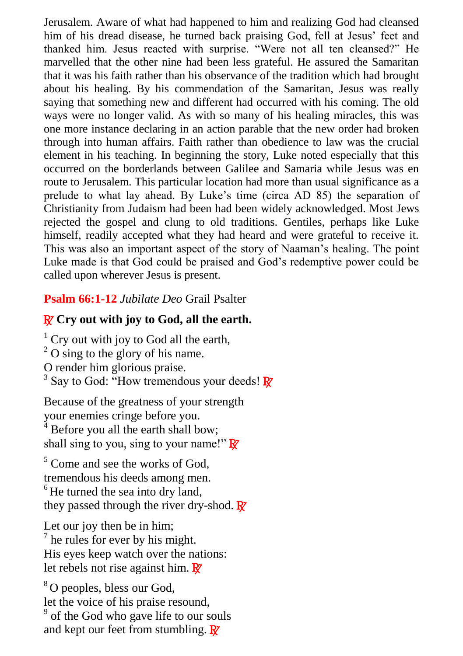Jerusalem. Aware of what had happened to him and realizing God had cleansed him of his dread disease, he turned back praising God, fell at Jesus' feet and thanked him. Jesus reacted with surprise. "Were not all ten cleansed?" He marvelled that the other nine had been less grateful. He assured the Samaritan that it was his faith rather than his observance of the tradition which had brought about his healing. By his commendation of the Samaritan, Jesus was really saying that something new and different had occurred with his coming. The old ways were no longer valid. As with so many of his healing miracles, this was one more instance declaring in an action parable that the new order had broken through into human affairs. Faith rather than obedience to law was the crucial element in his teaching. In beginning the story, Luke noted especially that this occurred on the borderlands between Galilee and Samaria while Jesus was en route to Jerusalem. This particular location had more than usual significance as a prelude to what lay ahead. By Luke's time (circa AD 85) the separation of Christianity from Judaism had been had been widely acknowledged. Most Jews rejected the gospel and clung to old traditions. Gentiles, perhaps like Luke himself, readily accepted what they had heard and were grateful to receive it. This was also an important aspect of the story of Naaman's healing. The point Luke made is that God could be praised and God's redemptive power could be called upon wherever Jesus is present.

#### **Psalm 66:1-12** *Jubilate Deo* Grail Psalter

### R **Cry out with joy to God, all the earth.**

 $1$  Cry out with joy to God all the earth,  $2^2$  O sing to the glory of his name. O render him glorious praise. <sup>3</sup> Say to God: "How tremendous your deeds!  $\mathbb{R}^2$ 

Because of the greatness of your strength your enemies cringe before you.

 $4$  Before you all the earth shall bow; shall sing to you, sing to your name!"  $\mathbb{R}^7$ 

<sup>5</sup> Come and see the works of God. tremendous his deeds among men.  $<sup>6</sup>$  He turned the sea into dry land,</sup> they passed through the river dry-shod.  $\mathbb{R}^7$ 

Let our joy then be in him; <sup>7</sup> he rules for ever by his might. His eyes keep watch over the nations: let rebels not rise against him.  $\mathbb{R}^7$ 

<sup>8</sup>O peoples, bless our God. let the voice of his praise resound, <sup>9</sup> of the God who gave life to our souls and kept our feet from stumbling.  $\mathbb{R}^7$